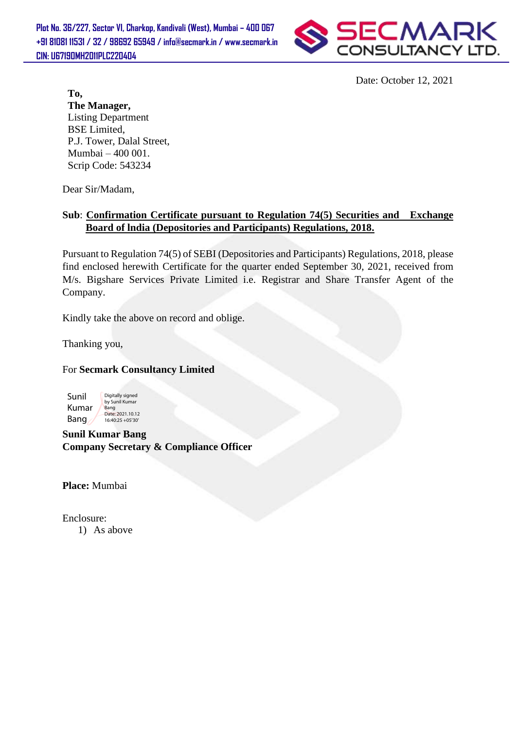**Plot No. 36/227, Sector VI, Charkop, Kandivali (West), Mumbai – 400 067 +91 81081 11531 / 32 / 98692 65949 / info@secmark.in / www.secmark.in CIN: U67190MH2011PLC220404**



Date: October 12, 2021

**To, The Manager,** Listing Department BSE Limited, P.J. Tower, Dalal Street, Mumbai – 400 001. Scrip Code: 543234

Dear Sir/Madam,

## **Sub**: **Confirmation Certificate pursuant to Regulation 74(5) Securities and Exchange Board of lndia (Depositories and Participants) Regulations, 2018.**

Pursuant to Regulation 74(5) of SEBI (Depositories and Participants) Regulations, 2018, please find enclosed herewith Certificate for the quarter ended September 30, 2021, received from M/s. Bigshare Services Private Limited i.e. Registrar and Share Transfer Agent of the Company.

Kindly take the above on record and oblige.

Thanking you,

## For **Secmark Consultancy Limited**



**Sunil Kumar Bang Company Secretary & Compliance Officer**

**Place:** Mumbai

Enclosure: 1) As above